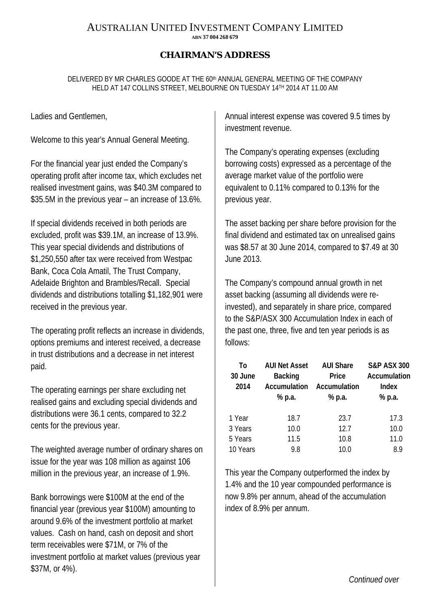## AUSTRALIAN UNITED INVESTMENT COMPANY LIMITED **ABN 37 004 268 679**

## **CHAIRMAN'S ADDRESS**

DELIVERED BY MR CHARLES GOODE AT THE 60<sup>th</sup> ANNUAL GENERAL MEETING OF THE COMPANY HELD AT 147 COLLINS STREET, MELBOURNE ON TUESDAY 14TH 2014 AT 11.00 AM

Ladies and Gentlemen,

Welcome to this year's Annual General Meeting.

For the financial year just ended the Company's operating profit after income tax, which excludes net realised investment gains, was \$40.3M compared to \$35.5M in the previous year – an increase of 13.6%.

If special dividends received in both periods are excluded, profit was \$39.1M, an increase of 13.9%. This year special dividends and distributions of \$1,250,550 after tax were received from Westpac Bank, Coca Cola Amatil, The Trust Company, Adelaide Brighton and Brambles/Recall. Special dividends and distributions totalling \$1,182,901 were received in the previous year.

The operating profit reflects an increase in dividends, options premiums and interest received, a decrease in trust distributions and a decrease in net interest paid.

The operating earnings per share excluding net realised gains and excluding special dividends and distributions were 36.1 cents, compared to 32.2 cents for the previous year.

The weighted average number of ordinary shares on issue for the year was 108 million as against 106 million in the previous year, an increase of 1.9%.

Bank borrowings were \$100M at the end of the financial year (previous year \$100M) amounting to around 9.6% of the investment portfolio at market values. Cash on hand, cash on deposit and short term receivables were \$71M, or 7% of the investment portfolio at market values (previous year \$37M, or 4%).

Annual interest expense was covered 9.5 times by investment revenue.

The Company's operating expenses (excluding borrowing costs) expressed as a percentage of the average market value of the portfolio were equivalent to 0.11% compared to 0.13% for the previous year.

The asset backing per share before provision for the final dividend and estimated tax on unrealised gains was \$8.57 at 30 June 2014, compared to \$7.49 at 30 June 2013.

The Company's compound annual growth in net asset backing (assuming all dividends were reinvested), and separately in share price, compared to the S&P/ASX 300 Accumulation Index in each of the past one, three, five and ten year periods is as follows:

| Τo       | <b>AUI Net Asset</b> | <b>AUI Share</b> | <b>S&amp;P ASX 300</b> |
|----------|----------------------|------------------|------------------------|
| 30 June  | <b>Backing</b>       | Price            | Accumulation           |
| 2014     | Accumulation         | Accumulation     | <b>Index</b>           |
|          | % p.a.               | % p.a.           | % p.a.                 |
|          |                      |                  |                        |
| 1 Year   | 18.7                 | 23.7             | 17.3                   |
| 3 Years  | 10.0                 | 12.7             | 10.0                   |
| 5 Years  | 11.5                 | 10.8             | 11.0                   |
| 10 Years | 9.8                  | 10.0             | 8.9                    |

This year the Company outperformed the index by 1.4% and the 10 year compounded performance is now 9.8% per annum, ahead of the accumulation index of 8.9% per annum.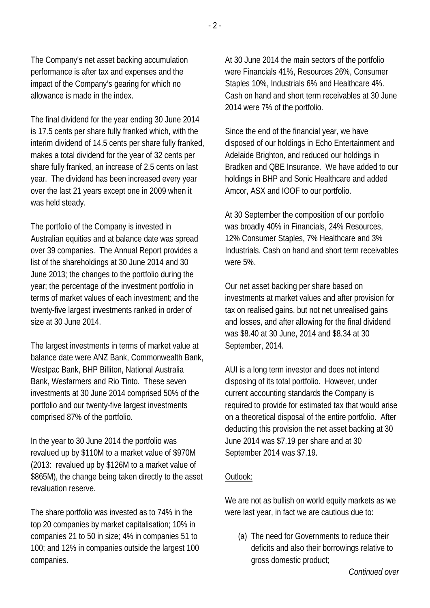The Company's net asset backing accumulation performance is after tax and expenses and the impact of the Company's gearing for which no allowance is made in the index.

The final dividend for the year ending 30 June 2014 is 17.5 cents per share fully franked which, with the interim dividend of 14.5 cents per share fully franked, makes a total dividend for the year of 32 cents per share fully franked, an increase of 2.5 cents on last year. The dividend has been increased every year over the last 21 years except one in 2009 when it was held steady.

The portfolio of the Company is invested in Australian equities and at balance date was spread over 39 companies. The Annual Report provides a list of the shareholdings at 30 June 2014 and 30 June 2013; the changes to the portfolio during the year; the percentage of the investment portfolio in terms of market values of each investment; and the twenty-five largest investments ranked in order of size at 30 June 2014.

The largest investments in terms of market value at balance date were ANZ Bank, Commonwealth Bank, Westpac Bank, BHP Billiton, National Australia Bank, Wesfarmers and Rio Tinto. These seven investments at 30 June 2014 comprised 50% of the portfolio and our twenty-five largest investments comprised 87% of the portfolio.

In the year to 30 June 2014 the portfolio was revalued up by \$110M to a market value of \$970M (2013: revalued up by \$126M to a market value of \$865M), the change being taken directly to the asset revaluation reserve.

The share portfolio was invested as to 74% in the top 20 companies by market capitalisation; 10% in companies 21 to 50 in size; 4% in companies 51 to 100; and 12% in companies outside the largest 100 companies.

At 30 June 2014 the main sectors of the portfolio were Financials 41%, Resources 26%, Consumer Staples 10%, Industrials 6% and Healthcare 4%. Cash on hand and short term receivables at 30 June 2014 were 7% of the portfolio.

Since the end of the financial year, we have disposed of our holdings in Echo Entertainment and Adelaide Brighton, and reduced our holdings in Bradken and QBE Insurance. We have added to our holdings in BHP and Sonic Healthcare and added Amcor, ASX and IOOF to our portfolio.

At 30 September the composition of our portfolio was broadly 40% in Financials, 24% Resources, 12% Consumer Staples, 7% Healthcare and 3% Industrials. Cash on hand and short term receivables were 5%.

Our net asset backing per share based on investments at market values and after provision for tax on realised gains, but not net unrealised gains and losses, and after allowing for the final dividend was \$8.40 at 30 June, 2014 and \$8.34 at 30 September, 2014.

AUI is a long term investor and does not intend disposing of its total portfolio. However, under current accounting standards the Company is required to provide for estimated tax that would arise on a theoretical disposal of the entire portfolio. After deducting this provision the net asset backing at 30 June 2014 was \$7.19 per share and at 30 September 2014 was \$7.19.

## Outlook:

We are not as bullish on world equity markets as we were last year, in fact we are cautious due to:

(a) The need for Governments to reduce their deficits and also their borrowings relative to gross domestic product;